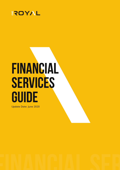

# **FINANCIAL SERVICES GUIDE**

Update Date: June 2020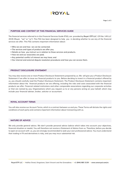

#### **PURPOSE AND CONTENT OF THIS FINANCIAL SERVICES GUIDE**

The financial services referred to in this Financial Services Guide (FSG), are provided by **Royal ETP LLC** (CR No: 149 LLC 2019) (Royal, "we" or "us"). This FSG has been designed to help you in deciding whether to use any of the financial services we offer. This FSG contains important information about:

- Who we are and how we can be contacted;
- The services and types of products we offer you;
- Details on how you instruct us in relation to those services and products.
- How we and our associates are paid;
- Any potential conflict of interest we may have; and
- Our internal and external dispute resolution procedures and how you can access them.

# **PRODUCT DISCLOSURE STATEMENT**

You may also receive one or more Product Disclosure Statements prepared by us. We will give you a Product Disclosure Statement if we offer to issue our financial products to you. Before deciding to invest in a financial product offered by us, you should carefully read the Product Disclosure Statement. The Product Disclosure Statement contains important information about the financial products we are offering, including the risks and costs associated with the financial products we offer. Financial related institutions and other comparable associations regarding our corporate activities or that are named by you; Organisations which you request us to or any persons acting on your behalf, which may include your financial adviser, broker, solicitor or accountant.

## **ROYAL ACCOUNT TERMS**

You will also receive our Account Terms, which is a contract between us and you. These Terms will dictate the rights and conditions of each party and contains important information about transacting with us.

# **NATURE OF ADVICE**

We only provide general advice. We don't provide personal advice (advice which takes into account your objectives, financial situation or needs). You will therefore not receive a Statement of Advice from us. Therefore, before you decide to open an account with us, you are strongly recommended to seek your own professional advice. You must understand that trading in FX and derivatives is risky, and you may incur substantial risk.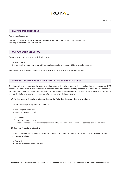

#### **HOW YOU CAN CONTACT US**

You can contact us by:

Telephoning us on **+1 (888) 705-9006** between 9 am to 6 pm AEST Monday to Friday; or Emailing us at **info@oneroyal.com.vc**

# **HOW YOU CAN INSTRUCT US**

You can instruct us in any of the following ways:

- By telephone; or
- Electronically through our internet trading platforms to which you will be granted access to.

If requested by you, we may agree to accept instructions by email, at your own request.

## **THE FINANCIAL SERVICES WE ARE AUTHORISED TO PROVIDE TO YOU**

Our financial services business involves providing general financial product advice, dealing in over-the-counter (OTC) financial products such as derivatives on a principal basis and market making services in relation to OTC derivatives (including but not limited to synthetic equities, margin foreign exchange contracts) that we issue. We are authorised to provide the following financial services to retail clients and wholesale clients.

#### **(a) Provide general financial product advice for the following classes of financial products:**

- i. Deposit and payment products limited to:
- A. Basic deposit products;
- B. Non-cash payment products;
- ii. Derivatives;
- iii. Foreign exchange contracts;
- iv. Interests in managed investment schemes excluding investor directed portfolio services; and v. Securities

#### **(b) Deal in a financial product by:**

i. Issuing, applying for, acquiring, varying or disposing of a financial product in respect of the following classes of financial products:

A. Derivatives;

B. Foreign exchange contracts; and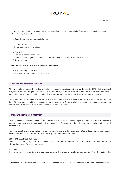# **EROYAL**

ii. Applying for, acquiring, varying or disposing of a financial product on behalf of another person in respect of the following classes of products:

A. Deposit and payment products limited to:

- 1) Basic deposit products;
- 2) Non-cash payment products;
- B. Derivatives;
- C. Foreign exchange contracts;
- D. Interests in managed investment schemes excluding investor directed portfolio services; and
- E. Securities; and

#### **(c) Make a market for the following financial products:**

- i. Foreign exchange contracts
- ii. Derivatives; to retail and wholesale clients.

# **OUR RELATIONSHIP WITH YOU**

When we make a market, that is deal in foreign exchange contracts and other over-the-counter (OTC) derivatives such as synthetic equities, margin FX or contracts-for-difference, we act as principal in our transactions with you Royal is required by law to issue you with a Product Disclosure Statement prior to providing these products to you.

You should read these documents carefully. The Product Disclosure Statements disclose the important features and risks of these products and their terms are set out in the Account Terms (available at the time you open an account and also on request) so please make sure you read them before trading.

#### **REMUNERATION AND BENEFITS**

You may pay Royal a fee depending on the type and level of services provided to you, the financial products you choose and the amount you invest. In particular, Royal may receive fees and other benefits from the financial products that it issues to you.

These may take the form of spread and/ or commission payments. Unless otherwise stated, all fees, charges, commissions and benefits disclosed in this FSG are inclusive of goods and services tax (GST).

#### **OTC FINANCIAL PRODUCT FEES**

The fees, costs and charges for OTC financial products are disclosed in the product disclosure statement and Market Information Sheets for those products.

#### **GENERAL**

If you owe an account to Royal and you have not paid that amount, Royal may charge interest on that outstanding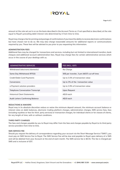# **EROYAL**

amount at the rate set out in or on the basis described in the Account Terms or, if not specified or described, at the rate equal to Royal's prevailing debit interest rate determined by it from time to time.

Royal may charge a fee for printing and postage of confirmations if you have the ability to receive electronic confirmations but have chosen not to do so. We may also charge reasonable amounts for additional reports or communications required by you. These fees will be advised to you prior to you requesting this information.

#### **ADMINISTRATION FEES**

Additional fees may be charged for transactions and services, including but not limited to international transfers, bank cheques and additional account administration fees. Royal may charge fees for certain administrative services which occur in the course of your dealings with us.

| <b>ADMINISTRATIVE SERVICES</b>           | FEE (INCL. GST)                             |
|------------------------------------------|---------------------------------------------|
| Withdrawal (electronic/domestic)         | No Charge                                   |
| Same Day Withdrawal (RTGS)               | 50\$ per transfer, 3 pm (AEST) cut-off time |
| Credit/Debit Card Payments               | Up to 3.5% of transaction value             |
| Conversions                              | Up to 3% of the transaction value           |
| e-Payment solution providers             | Up to 3.9% of transaction value             |
| <b>Telephone Conversation Transcript</b> | Upon Request                                |
| <b>Historical Client Statements</b>      | A\$10 each                                  |
| Audit Letters Confirming Balance         | A\$10 each                                  |

#### **REDUCTIONS & WAIVERS**

Royal may in its absolute discretion reduce or waive the minimum deposit amount, the minimum account balance or interest rates on debit balances, electronic trading platform charges, administration charges, SMS service fees, fees (including royalties or fees for third party services) or transaction charges, for individual clients or for classes of clients, for any length of time, with or without conditions.

#### **THIRD PARTY CHARGES**

The fees and charges payable by you to Royal may differ from the fees and charges payable by Royal to its third party service providers from time to time.

#### **SMS SERVICE FEE**

Should you request the delivery of correspondence regarding your account via the Short Message Service ("SMS"), you must pay an SMS Service Fee to Royal. The SMS Service Fee will be due and payable to Royal upon delivery of a SMS and will be debited from your Account at the end of each month. The SMS service fee is \$0.55. This fee is charged per SMS and is inclusive of GST.